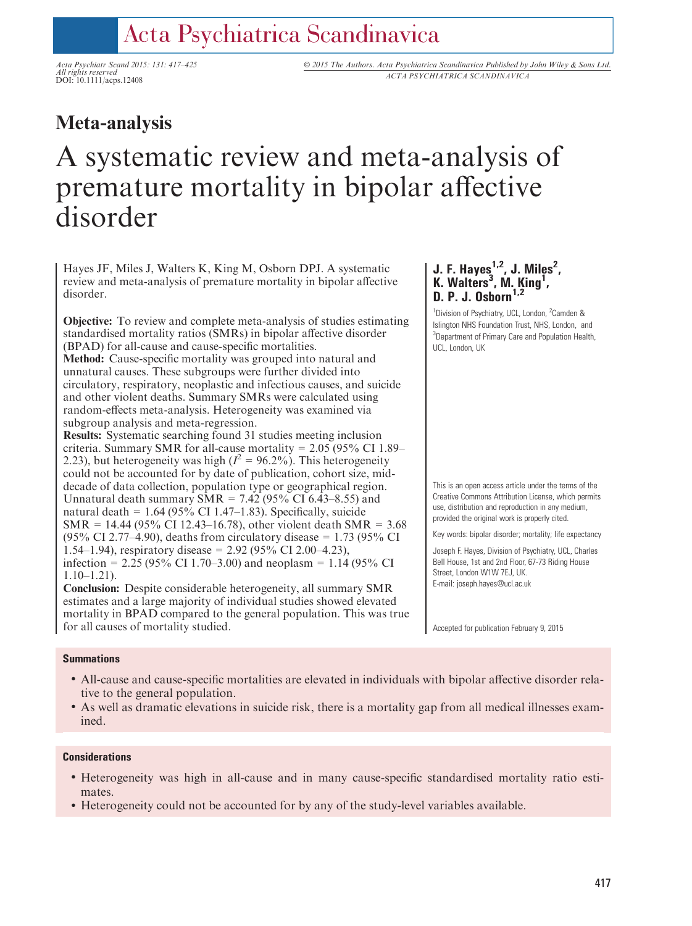# Acta Psychiatrica Scandinavica

All rights reserved

Acta Psychiatr Scand 2015: 131: 417–425 © 2015 The Authors. Acta Psychiatrica Scandinavica Published by John Wiley & Sons Ltd. All rights reserved<br>DOI: 10.1111/acps.12408<br>DOI: 10.1111/acps.12408

# Meta-analysis

# A systematic review and meta-analysis of premature mortality in bipolar affective disorder

Hayes JF, Miles J, Walters K, King M, Osborn DPJ. A systematic review and meta-analysis of premature mortality in bipolar affective disorder.

Objective: To review and complete meta-analysis of studies estimating standardised mortality ratios (SMRs) in bipolar affective disorder (BPAD) for all-cause and cause-specific mortalities.

Method: Cause-specific mortality was grouped into natural and unnatural causes. These subgroups were further divided into circulatory, respiratory, neoplastic and infectious causes, and suicide and other violent deaths. Summary SMRs were calculated using random-effects meta-analysis. Heterogeneity was examined via subgroup analysis and meta-regression.

Results: Systematic searching found 31 studies meeting inclusion criteria. Summary SMR for all-cause mortality = 2.05 (95% CI 1.89– 2.23), but heterogeneity was high ( $I^2 = 96.2\%$ ). This heterogeneity could not be accounted for by date of publication, cohort size, middecade of data collection, population type or geographical region. Unnatural death summary SMR =  $7.42$  (95% CI 6.43–8.55) and natural death =  $1.64$  (95% CI 1.47–1.83). Specifically, suicide  $SMR = 14.44 (95\% \text{ CI } 12.43 - 16.78)$ , other violent death SMR = 3.68 (95% CI 2.77–4.90), deaths from circulatory disease = 1.73 (95% CI 1.54–1.94), respiratory disease =  $2.92$  (95% CI 2.00–4.23), infection = 2.25 (95% CI 1.70–3.00) and neoplasm = 1.14 (95% CI 1.10–1.21).

Conclusion: Despite considerable heterogeneity, all summary SMR estimates and a large majority of individual studies showed elevated mortality in BPAD compared to the general population. This was true for all causes of mortality studied.

# J. F. Hayes $<sup>1,2</sup>$ , J. Miles<sup>2</sup>,</sup> J. F. Hayes<sup>1,2</sup>, J. Miles<sup>2</sup>,<br>K. Walters<sup>3</sup>, M. King<sup>1</sup>, D. P. J. Osborn<sup>1,2</sup>

<sup>1</sup> Division of Psychiatry, UCL, London, <sup>2</sup> Camden & Islington NHS Foundation Trust, NHS, London, and <sup>3</sup>Department of Primary Care and Population Health, UCL, London, UK

This is an open access article under the terms of the [Creative Commons Attribution](http://creativecommons.org/licenses/by/4.0/) License, which permits use, distribution and reproduction in any medium, provided the original work is properly cited.

Key words: bipolar disorder; mortality; life expectancy

Joseph F. Hayes, Division of Psychiatry, UCL, Charles Bell House, 1st and 2nd Floor, 67-73 Riding House Street, London W1W 7EJ, UK. E-mail: joseph.hayes@ucl.ac.uk

Accepted for publication February 9, 2015

#### **Summations**

- All-cause and cause-specific mortalities are elevated in individuals with bipolar affective disorder relative to the general population.
- As well as dramatic elevations in suicide risk, there is a mortality gap from all medical illnesses examined.

#### **Considerations**

- Heterogeneity was high in all-cause and in many cause-specific standardised mortality ratio estimates.
- Heterogeneity could not be accounted for by any of the study-level variables available.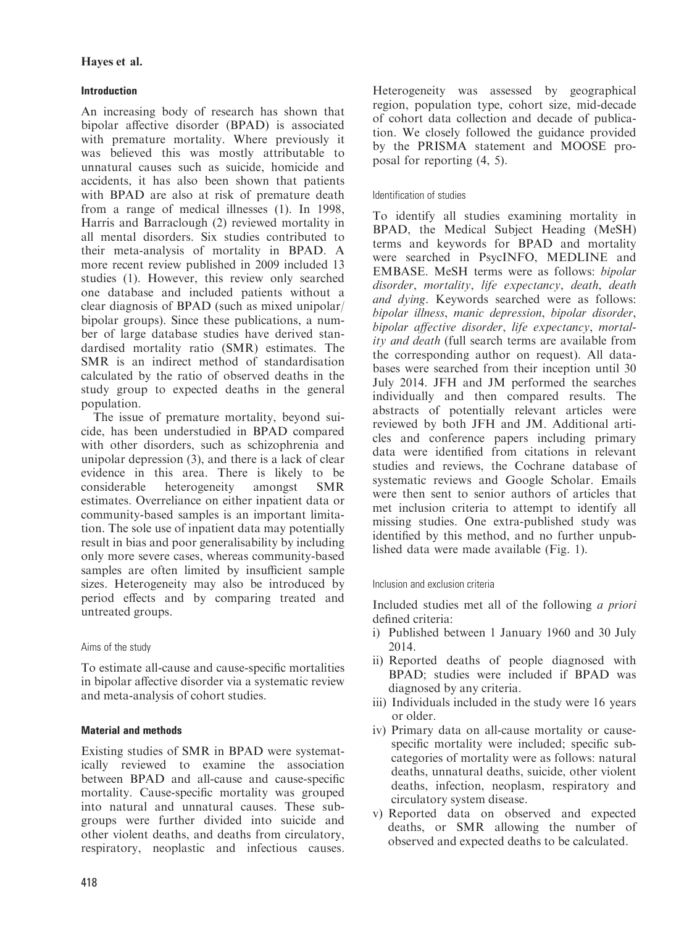# Hayes et al.

# Introduction

An increasing body of research has shown that bipolar affective disorder (BPAD) is associated with premature mortality. Where previously it was believed this was mostly attributable to unnatural causes such as suicide, homicide and accidents, it has also been shown that patients with BPAD are also at risk of premature death from a range of medical illnesses (1). In 1998, Harris and Barraclough (2) reviewed mortality in all mental disorders. Six studies contributed to their meta-analysis of mortality in BPAD. A more recent review published in 2009 included 13 studies (1). However, this review only searched one database and included patients without a clear diagnosis of BPAD (such as mixed unipolar/ bipolar groups). Since these publications, a number of large database studies have derived standardised mortality ratio (SMR) estimates. The SMR is an indirect method of standardisation calculated by the ratio of observed deaths in the study group to expected deaths in the general population.

The issue of premature mortality, beyond suicide, has been understudied in BPAD compared with other disorders, such as schizophrenia and unipolar depression (3), and there is a lack of clear evidence in this area. There is likely to be considerable heterogeneity amongst SMR estimates. Overreliance on either inpatient data or community-based samples is an important limitation. The sole use of inpatient data may potentially result in bias and poor generalisability by including only more severe cases, whereas community-based samples are often limited by insufficient sample sizes. Heterogeneity may also be introduced by period effects and by comparing treated and untreated groups.

# Aims of the study

To estimate all-cause and cause-specific mortalities in bipolar affective disorder via a systematic review and meta-analysis of cohort studies.

# Material and methods

Existing studies of SMR in BPAD were systematically reviewed to examine the association between BPAD and all-cause and cause-specific mortality. Cause-specific mortality was grouped into natural and unnatural causes. These subgroups were further divided into suicide and other violent deaths, and deaths from circulatory, respiratory, neoplastic and infectious causes. Heterogeneity was assessed by geographical region, population type, cohort size, mid-decade of cohort data collection and decade of publication. We closely followed the guidance provided by the PRISMA statement and MOOSE proposal for reporting (4, 5).

# Identification of studies

To identify all studies examining mortality in BPAD, the Medical Subject Heading (MeSH) terms and keywords for BPAD and mortality were searched in PsycINFO, MEDLINE and EMBASE. MeSH terms were as follows: bipolar disorder, mortality, life expectancy, death, death and dying. Keywords searched were as follows: bipolar illness, manic depression, bipolar disorder, bipolar affective disorder, life expectancy, mortality and death (full search terms are available from the corresponding author on request). All databases were searched from their inception until 30 July 2014. JFH and JM performed the searches individually and then compared results. The abstracts of potentially relevant articles were reviewed by both JFH and JM. Additional articles and conference papers including primary data were identified from citations in relevant studies and reviews, the Cochrane database of systematic reviews and Google Scholar. Emails were then sent to senior authors of articles that met inclusion criteria to attempt to identify all missing studies. One extra-published study was identified by this method, and no further unpublished data were made available (Fig. 1).

# Inclusion and exclusion criteria

Included studies met all of the following a priori defined criteria:

- i) Published between 1 January 1960 and 30 July 2014.
- ii) Reported deaths of people diagnosed with BPAD; studies were included if BPAD was diagnosed by any criteria.
- iii) Individuals included in the study were 16 years or older.
- iv) Primary data on all-cause mortality or causespecific mortality were included; specific subcategories of mortality were as follows: natural deaths, unnatural deaths, suicide, other violent deaths, infection, neoplasm, respiratory and circulatory system disease.
- v) Reported data on observed and expected deaths, or SMR allowing the number of observed and expected deaths to be calculated.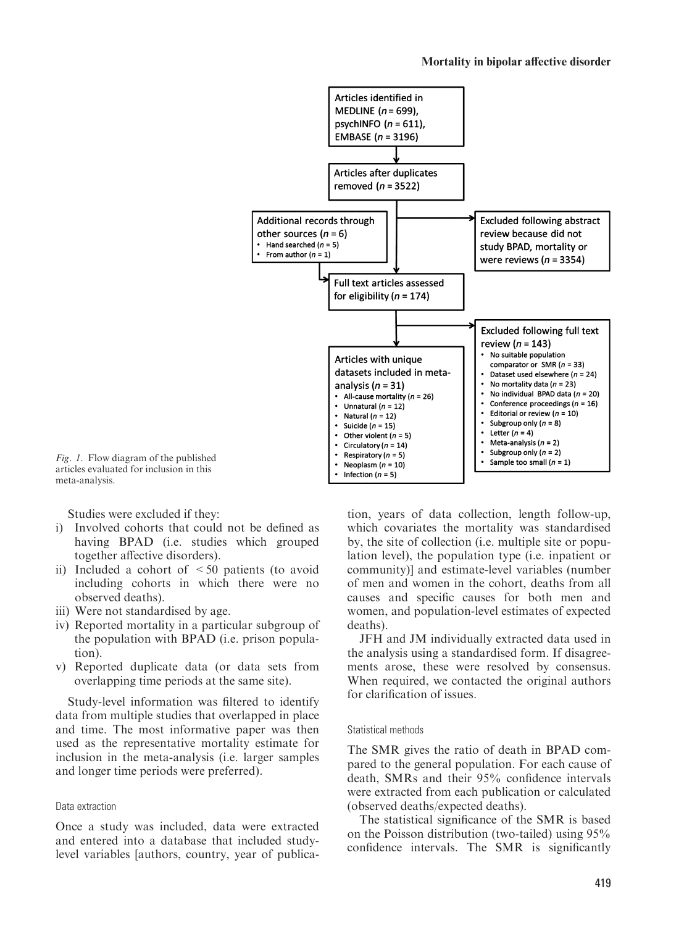

Fig. 1. Flow diagram of the published articles evaluated for inclusion in this meta-analysis.

Studies were excluded if they:

- i) Involved cohorts that could not be defined as having BPAD (i.e. studies which grouped together affective disorders).
- ii) Included a cohort of  $\leq 50$  patients (to avoid including cohorts in which there were no observed deaths).
- iii) Were not standardised by age.
- iv) Reported mortality in a particular subgroup of the population with BPAD (i.e. prison population).
- v) Reported duplicate data (or data sets from overlapping time periods at the same site).

Study-level information was filtered to identify data from multiple studies that overlapped in place and time. The most informative paper was then used as the representative mortality estimate for inclusion in the meta-analysis (i.e. larger samples and longer time periods were preferred).

#### Data extraction

Once a study was included, data were extracted and entered into a database that included studylevel variables [authors, country, year of publication, years of data collection, length follow-up, which covariates the mortality was standardised by, the site of collection (i.e. multiple site or population level), the population type (i.e. inpatient or community)] and estimate-level variables (number of men and women in the cohort, deaths from all causes and specific causes for both men and women, and population-level estimates of expected deaths).

JFH and JM individually extracted data used in the analysis using a standardised form. If disagreements arose, these were resolved by consensus. When required, we contacted the original authors for clarification of issues.

#### Statistical methods

The SMR gives the ratio of death in BPAD compared to the general population. For each cause of death, SMRs and their 95% confidence intervals were extracted from each publication or calculated (observed deaths/expected deaths).

The statistical significance of the SMR is based on the Poisson distribution (two-tailed) using 95% confidence intervals. The SMR is significantly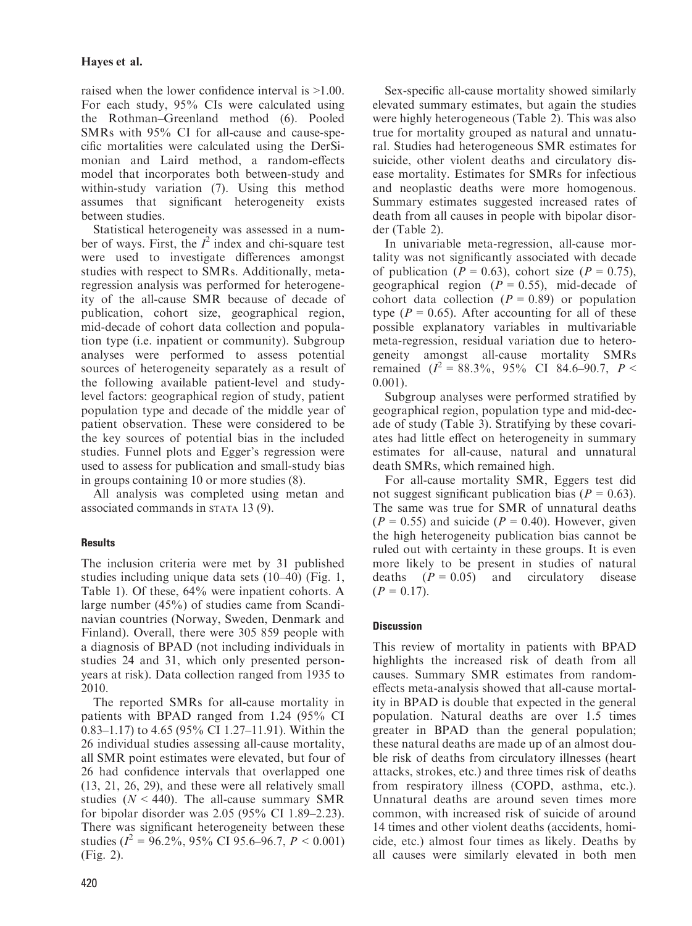raised when the lower confidence interval is >1.00. For each study, 95% CIs were calculated using the Rothman–Greenland method (6). Pooled SMRs with 95% CI for all-cause and cause-specific mortalities were calculated using the DerSimonian and Laird method, a random-effects model that incorporates both between-study and within-study variation (7). Using this method assumes that significant heterogeneity exists between studies.

Statistical heterogeneity was assessed in a number of ways. First, the  $I^2$  index and chi-square test were used to investigate differences amongst studies with respect to SMRs. Additionally, metaregression analysis was performed for heterogeneity of the all-cause SMR because of decade of publication, cohort size, geographical region, mid-decade of cohort data collection and population type (i.e. inpatient or community). Subgroup analyses were performed to assess potential sources of heterogeneity separately as a result of the following available patient-level and studylevel factors: geographical region of study, patient population type and decade of the middle year of patient observation. These were considered to be the key sources of potential bias in the included studies. Funnel plots and Egger's regression were used to assess for publication and small-study bias in groups containing 10 or more studies (8).

All analysis was completed using metan and associated commands in STATA 13 (9).

# **Results**

The inclusion criteria were met by 31 published studies including unique data sets (10–40) (Fig. 1, Table 1). Of these, 64% were inpatient cohorts. A large number (45%) of studies came from Scandinavian countries (Norway, Sweden, Denmark and Finland). Overall, there were 305 859 people with a diagnosis of BPAD (not including individuals in studies 24 and 31, which only presented personyears at risk). Data collection ranged from 1935 to 2010.

The reported SMRs for all-cause mortality in patients with BPAD ranged from 1.24 (95% CI 0.83–1.17) to 4.65 (95% CI 1.27–11.91). Within the 26 individual studies assessing all-cause mortality, all SMR point estimates were elevated, but four of 26 had confidence intervals that overlapped one (13, 21, 26, 29), and these were all relatively small studies ( $N < 440$ ). The all-cause summary SMR for bipolar disorder was 2.05 (95% CI 1.89–2.23). There was significant heterogeneity between these studies ( $I^2 = 96.2\%$ , 95% CI 95.6–96.7,  $P < 0.001$ ) (Fig. 2).

Sex-specific all-cause mortality showed similarly elevated summary estimates, but again the studies were highly heterogeneous (Table 2). This was also true for mortality grouped as natural and unnatural. Studies had heterogeneous SMR estimates for suicide, other violent deaths and circulatory disease mortality. Estimates for SMRs for infectious and neoplastic deaths were more homogenous. Summary estimates suggested increased rates of death from all causes in people with bipolar disorder (Table 2).

In univariable meta-regression, all-cause mortality was not significantly associated with decade of publication ( $P = 0.63$ ), cohort size ( $P = 0.75$ ), geographical region ( $P = 0.55$ ), mid-decade of cohort data collection  $(P = 0.89)$  or population type ( $P = 0.65$ ). After accounting for all of these possible explanatory variables in multivariable meta-regression, residual variation due to heterogeneity amongst all-cause mortality SMRs remained  $(I^2 = 88.3\%, 95\% \text{ CI } 84.6-90.7, P <$ 0.001).

Subgroup analyses were performed stratified by geographical region, population type and mid-decade of study (Table 3). Stratifying by these covariates had little effect on heterogeneity in summary estimates for all-cause, natural and unnatural death SMRs, which remained high.

For all-cause mortality SMR, Eggers test did not suggest significant publication bias ( $P = 0.63$ ). The same was true for SMR of unnatural deaths  $(P = 0.55)$  and suicide  $(P = 0.40)$ . However, given the high heterogeneity publication bias cannot be ruled out with certainty in these groups. It is even more likely to be present in studies of natural deaths  $(P = 0.05)$  and circulatory disease  $(P = 0.17)$ .

# **Discussion**

This review of mortality in patients with BPAD highlights the increased risk of death from all causes. Summary SMR estimates from randomeffects meta-analysis showed that all-cause mortality in BPAD is double that expected in the general population. Natural deaths are over 1.5 times greater in BPAD than the general population; these natural deaths are made up of an almost double risk of deaths from circulatory illnesses (heart attacks, strokes, etc.) and three times risk of deaths from respiratory illness (COPD, asthma, etc.). Unnatural deaths are around seven times more common, with increased risk of suicide of around 14 times and other violent deaths (accidents, homicide, etc.) almost four times as likely. Deaths by all causes were similarly elevated in both men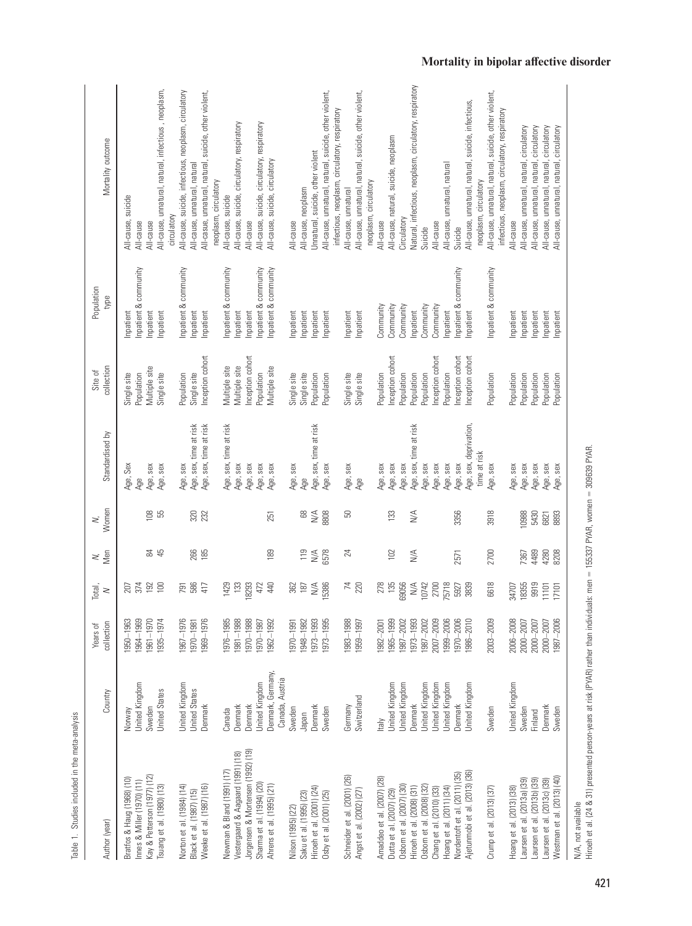| Table 1. Studies included in the meta-analysis           |                                     |                        |                        |                        |                              |                         |                           |                                  |                                                                                                          |
|----------------------------------------------------------|-------------------------------------|------------------------|------------------------|------------------------|------------------------------|-------------------------|---------------------------|----------------------------------|----------------------------------------------------------------------------------------------------------|
| Author (year)                                            | Country                             | collection<br>Years of | <b>Total</b><br>$\geq$ | Men<br>N,              | Women<br>≥                   | Standardised by         | collection<br>Site of     | Population<br>type               | Mortality outcome                                                                                        |
| Bratfos & Haug (1968) (10)<br>Innes & Miller (1970) (11) | United Kingdom<br>Norway            | 1964-1969<br>1950-1963 | 374<br>207             |                        |                              | Sex<br>Age,<br>Age      | Single site<br>Population | npatient & community<br>npatient | All-cause, suicide<br>All-cause                                                                          |
| Kay & Petterson (1977) (12)                              | Sweden                              | $1961 - 1970$          | 192                    | 84                     | 108                          | Age, sex                | Multiple site             | npatient                         | All-cause                                                                                                |
| Tsuang et al. (1980) (13)                                | <b>United States</b>                | 1935-1974              | 100                    | 45                     | 55                           | Age, sex                | Single site               | npatient                         | All-cause, unnatural, natural, infectious, neoplasm,                                                     |
|                                                          |                                     |                        |                        |                        |                              |                         |                           |                                  | circulatory                                                                                              |
| Norton et al. (1984) (14)                                | United Kingdom                      | 967-1976               | <b>PBZ</b>             |                        |                              | Age, sex                | Population                | npatient & community             | All-cause, suicide, infectious, neoplasm, circulatory                                                    |
| Black et al. (1987) (15)                                 | <b>United States</b>                | 1970-1981              | 586                    | 266                    | 320                          | Age, sex, time at risk  | Single site               | npatient                         | All-cause, unnatural, natural                                                                            |
| Weeke et al. (1987) (16)                                 | Denmark                             | 1969-1976              | 417                    | 185                    |                              | Age, sex, time at risk  | Inception cohort          | npatient                         | All-casue, unnatural, natural, suicide, other violent,                                                   |
|                                                          |                                     | 1976-1985              | 1429                   |                        |                              |                         |                           |                                  | neoplasm, circulatory                                                                                    |
| Newman & Bland (1991) (17)                               | Canada                              |                        |                        |                        |                              | Age, sex, time at risk  | Multiple site             | npatient & community             | All-cause, suicide                                                                                       |
| Vestergaard & Aagaard (1991) (18)                        | Denmark                             | 981-1988               | 133                    |                        |                              | sex<br>Age,             | Multiple site             | npatient                         | All-cause, suicide, circulatory, respiratory                                                             |
| Jorgensen & Mortensen (1992) (19)                        | Denmark                             | 970-1988               | 18293                  |                        |                              | Age, sex                | nception cohort           | npatient                         | All-cause                                                                                                |
| Sharma et al. (1994) (20)                                | United Kingdom                      | 1970-1987              | 472                    |                        |                              | Age, sex                | Population                | npatient & community             | All-cause, suicide, circulatory, respiratory                                                             |
| Ahrens et al. (1995) (21)                                | Denmark, Germany<br>Canada, Austria | $1962 - 1992$          | 40                     | 189                    | 251                          | Age, sex                | Multiple site             | npatient & community             | All-cause, suicide, circulatory                                                                          |
| Nilson (1995) (22)                                       | Sweden                              | $970 - 1991$           | 362                    |                        |                              | Age, sex                | Single site               | Inpatient                        | All-cause                                                                                                |
| Saku et al. (1995) (23)                                  | Japan                               | 948-1982               | 187                    | 119                    | 89                           | Age                     | Single site               | npatient                         | All-cause, neoplasm                                                                                      |
| Hiroeh et al. (2001) (24)                                | Denmark                             | $ 973 - 1993$          | $M \rightarrow$        | $\mathbb{N}\mathbb{A}$ | $\stackrel{\triangle}{\geq}$ | Age, sex, time at risk  | Population                | npatient                         | Unnatural, suicide, other violent                                                                        |
| Osby et al. (2001) (25)                                  | Sweden                              | $973 - 1995$           | 15386                  | 6578                   | 8808                         | Age, sex                | Population                | Inpatient                        | All-cause, unnatural, natural, suicide, other violent,                                                   |
|                                                          |                                     |                        |                        |                        |                              |                         |                           |                                  | infectious, neoplasm, circulatory, respiratory                                                           |
| Schneider et al. (2001) (26)                             | Germany                             | 1983-1988              | $\overline{7}$         | 24                     | 모                            | Age, sex                | Single site               | Inpatient                        | All-cause, unnatural                                                                                     |
| Angst et al. (2002) (27)                                 | Switzerland                         | 1959-1997              | 220                    |                        |                              | Age                     | Single site               | Inpatient                        | All-cause, unnatural, natural, suicide, other violent,                                                   |
|                                                          |                                     |                        |                        |                        |                              |                         |                           |                                  | neoplasm, circulatory                                                                                    |
| Amaddeo et al. (2007) (28)                               | <b>Italy</b>                        | 982-2001               | 278                    |                        |                              | Age, sex                | Population                | Community                        | All-cause                                                                                                |
| Dutta et al. (2007) (29)                                 | United Kingdom                      | 1965-1999              | 135                    | 102                    | 133                          | sex<br>Age,             | Inception cohort          | Community                        | All-cause, natural, suicide, neoplasm                                                                    |
| Osborn et al. (2007) (30)                                | United Kingdom                      | 987-2002               | 69056                  |                        |                              | Age, sex                | Population                | Community                        | Circulatory                                                                                              |
| Hiroeh et al. (2008) (31)                                | Denmark                             | $ 973 - 1993$          | N/A                    | N/A                    | $\frac{1}{2}$                | Age, sex, time at risk  | Population                | Inpatient                        | Natural, infectious, neoplasm, circulatory, respiratory                                                  |
| Osborn et al. (2008) (32)                                | United Kingdom                      | 1987-2002              | 10742                  |                        |                              | Age, sex                | Population                | Community                        | Suicide                                                                                                  |
| Chang et al. (2010) (33)                                 | United Kingdom                      | 2007-2009              | 2700                   |                        |                              | Age, sex                | Inception cohort          | Community                        | All-cause                                                                                                |
| Hoang et al. (2011) (34)                                 | United Kingdom                      | 999-2006               | 75718                  |                        |                              | Age, sex                | Population                | npatient                         | All-cause, unnatural, natural                                                                            |
| Nordentoft et al. (2011) (35)                            | Denmark                             | 970–2006               | 5927                   | 2571                   | 3356                         | Age, sex                | Inception cohort          | npatient & community             | Suicide                                                                                                  |
| Ajetunmobi et al. (2013) (36)                            | United Kingdom                      | 1986-2010              | 3839                   |                        |                              | Age, sex, deprivation,  | Inception cohort          | npatient                         | All-cause, unnatural, natural, suicide, infectious,                                                      |
|                                                          |                                     |                        |                        |                        |                              | time at risk            |                           |                                  | neoplasm, circulatory                                                                                    |
| Crump et al. (2013) (37                                  | Sweden                              | 2003-2009              | 6618                   | 2700                   | 3918                         | Age, sex                | Population                | Inpatient & community            | All-cause, unnatural, natural, suicide, other violent,<br>infectious, neoplasm, circulatory, respiratory |
| Hoang et al. (2013) (38)                                 | United Kingdom                      | 2006-2008              | 34707                  |                        |                              | Age, sex                | Population                | npatient                         | All-cause                                                                                                |
| Laursen et al. (2013a) (39)                              | Sweden                              | 2000-2007              | 18355                  | 7367                   | 10988                        | Age, sex                | Population                | Inpatient                        | All-cause, unnatural, natural, circulatory                                                               |
| Laursen et al. (2013b) (39)                              | Finland                             | 2000-2007              | 9919                   | 4489                   | 5430                         |                         | Population                | Inpatient                        | All-cause, unnatural, natural, circulatory                                                               |
| Laursen et al. (2013c) (39)                              | Denmark                             | 2000-2007              | 11101                  | 4280                   | 6821                         | Age, sex<br>sex<br>Age, | Population                | npatient                         | All-cause, unnatural, natural, circulatory                                                               |
| Westman et al. (2013) (40)                               | Sweden                              | 987-2006               | 17101                  | 8208                   | 8893                         | Age,                    | Population                |                                  | All-cause, unnatural, natural, circulatory                                                               |
|                                                          |                                     |                        |                        |                        |                              | sex                     |                           | npatient                         |                                                                                                          |
| N/A. not available                                       |                                     |                        |                        |                        |                              |                         |                           |                                  |                                                                                                          |

N/A, not available<br>Hiroeh et al. (24 & 31) presented person-years at risk (PYAR) rather than individuals: men = 155337 PYAR, women = 309639 PYAR. Hiroeh et al. (24 & 31) presented person-years at risk (PYAR) rather than individuals: men = 155337 PYAR, women = 309639 PYAR.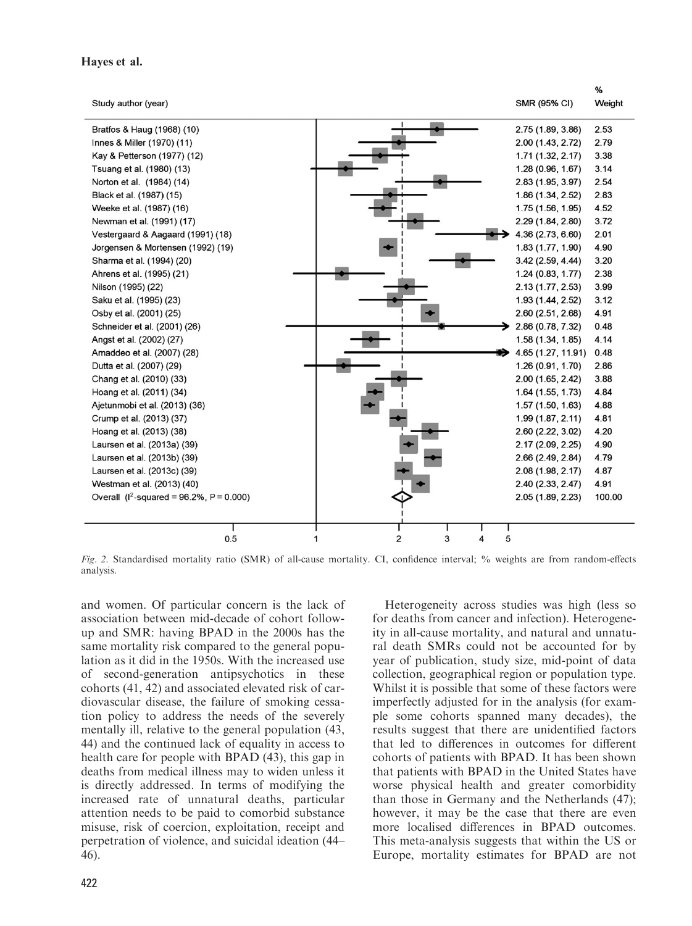

Fig. 2. Standardised mortality ratio (SMR) of all-cause mortality. CI, confidence interval; % weights are from random-effects analysis.

and women. Of particular concern is the lack of association between mid-decade of cohort followup and SMR: having BPAD in the 2000s has the same mortality risk compared to the general population as it did in the 1950s. With the increased use of second-generation antipsychotics in these cohorts (41, 42) and associated elevated risk of cardiovascular disease, the failure of smoking cessation policy to address the needs of the severely mentally ill, relative to the general population (43, 44) and the continued lack of equality in access to health care for people with BPAD (43), this gap in deaths from medical illness may to widen unless it is directly addressed. In terms of modifying the increased rate of unnatural deaths, particular attention needs to be paid to comorbid substance misuse, risk of coercion, exploitation, receipt and perpetration of violence, and suicidal ideation (44– 46).

Heterogeneity across studies was high (less so for deaths from cancer and infection). Heterogeneity in all-cause mortality, and natural and unnatural death SMRs could not be accounted for by year of publication, study size, mid-point of data collection, geographical region or population type. Whilst it is possible that some of these factors were imperfectly adjusted for in the analysis (for example some cohorts spanned many decades), the results suggest that there are unidentified factors that led to differences in outcomes for different cohorts of patients with BPAD. It has been shown that patients with BPAD in the United States have worse physical health and greater comorbidity than those in Germany and the Netherlands (47); however, it may be the case that there are even more localised differences in BPAD outcomes. This meta-analysis suggests that within the US or Europe, mortality estimates for BPAD are not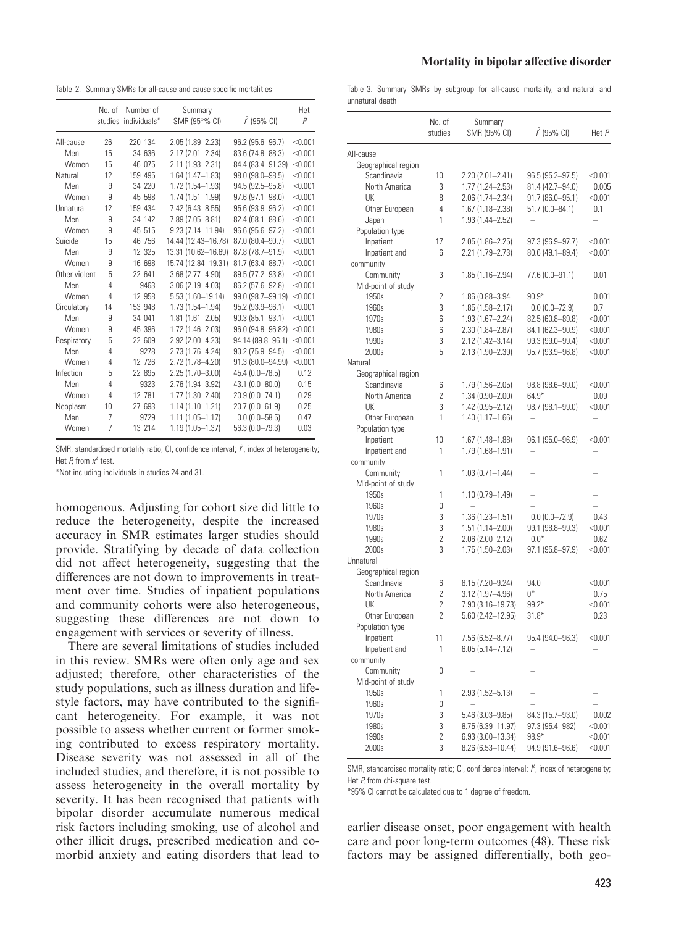Table 2. Summary SMRs for all-cause and cause specific mortalities

|               | No. of | Number of<br>studies individuals* | Summary<br>SMR (95°% CI) | $f(95\% \text{ Cl})$ | Het<br>$\overline{P}$ |
|---------------|--------|-----------------------------------|--------------------------|----------------------|-----------------------|
| All-cause     | 26     | 220 134                           | 2.05 (1.89-2.23)         | 96.2 (95.6-96.7)     | < 0.001               |
| Men           | 15     | 34 636                            | 2.17 (2.01-2.34)         | 83.6 (74.8-88.3)     | < 0.001               |
| Women         | 15     | 46 075                            | 2.11 (1.93-2.31)         | 84.4 (83.4-91.39)    | < 0.001               |
| Natural       | 12     | 159 495                           | 1.64 (1.47-1.83)         | 98.0 (98.0-98.5)     | < 0.001               |
| Men           | 9      | 34 220                            | 1.72 (1.54-1.93)         | 94.5 (92.5-95.8)     | < 0.001               |
| Women         | 9      | 45 598                            | 1.74 (1.51-1.99)         | 97.6 (97.1-98.0)     | < 0.001               |
| Unnatural     | 12     | 159 434                           | 7.42 (6.43-8.55)         | 95.6 (93.9-96.2)     | < 0.001               |
| Men           | 9      | 34 142                            | 7.89 (7.05-8.81)         | 82.4 (68.1-88.6)     | < 0.001               |
| Women         | 9      | 45 515                            | 9.23 (7.14-11.94)        | 96.6 (95.6-97.2)     | < 0.001               |
| Suicide       | 15     | 46 756                            | 14.44 (12.43-16.78)      | 87.0 (80.4-90.7)     | < 0.001               |
| Men           | 9      | 12 325                            | 13.31 (10.62-16.69)      | 87.8 (78.7-91.9)     | < 0.001               |
| Women         | 9      | 16 698                            | 15.74 (12.84-19.31)      | 81.7 (63.4-88.7)     | < 0.001               |
| Other violent | 5      | 22 641                            | 3.68 (2.77-4.90)         | 89.5 (77.2-93.8)     | < 0.001               |
| Men           | 4      | 9463                              | 3.06 (2.19-4.03)         | 86.2 (57.6-92.8)     | < 0.001               |
| Women         | 4      | 12 958                            | $5.53(1.60 - 19.14)$     | 99.0 (98.7-99.19)    | < 0.001               |
| Circulatory   | 14     | 153 948                           | 1.73 (1.54-1.94)         | 95.2 (93.9-96.1)     | < 0.001               |
| Men           | 9      | 34 041                            | $1.81(1.61 - 2.05)$      | 90.3 (85.1-93.1)     | < 0.001               |
| Women         | 9      | 45 396                            | 1.72 (1.46-2.03)         | 96.0 (94.8-96.82)    | < 0.001               |
| Respiratory   | 5      | 22 609                            | 2.92 (2.00-4.23)         | 94.14 (89.8-96.1)    | < 0.001               |
| Men           | 4      | 9278                              | 2.73 (1.76-4.24)         | 90.2 (75.9-94.5)     | < 0.001               |
| Women         | 4      | 12 726                            | 2.72 (1.78-4.20)         | 91.3 (80.0-94.99)    | < 0.001               |
| Infection     | 5      | 22 895                            | 2.25 (1.70-3.00)         | 45.4 (0.0-78.5)      | 0.12                  |
| Men           | 4      | 9323                              | 2.76 (1.94-3.92)         | 43.1 (0.0-80.0)      | 0.15                  |
| Women         | 4      | 12 781                            | 1.77 (1.30-2.40)         | 20.9 (0.0-74.1)      | 0.29                  |
| Neoplasm      | 10     | 27 693                            | $1.14(1.10 - 1.21)$      | 20.7 (0.0-61.9)      | 0.25                  |
| Men           | 7      | 9729                              | $1.11(1.05 - 1.17)$      | $0.0(0.0 - 58.5)$    | 0.47                  |
| Women         | 7      | 13 214                            | 1.19 (1.05-1.37)         | 56.3 (0.0-79.3)      | 0.03                  |

SMR, standardised mortality ratio; CI, confidence interval;  $\hat{F}$ , index of heterogeneity; Het  $P$ , from  $x^2$  test.

\*Not including individuals in studies 24 and 31.

homogenous. Adjusting for cohort size did little to reduce the heterogeneity, despite the increased accuracy in SMR estimates larger studies should provide. Stratifying by decade of data collection did not affect heterogeneity, suggesting that the differences are not down to improvements in treatment over time. Studies of inpatient populations and community cohorts were also heterogeneous, suggesting these differences are not down to engagement with services or severity of illness.

There are several limitations of studies included in this review. SMRs were often only age and sex adjusted; therefore, other characteristics of the study populations, such as illness duration and lifestyle factors, may have contributed to the significant heterogeneity. For example, it was not possible to assess whether current or former smoking contributed to excess respiratory mortality. Disease severity was not assessed in all of the included studies, and therefore, it is not possible to assess heterogeneity in the overall mortality by severity. It has been recognised that patients with bipolar disorder accumulate numerous medical risk factors including smoking, use of alcohol and other illicit drugs, prescribed medication and comorbid anxiety and eating disorders that lead to Table 3. Summary SMRs by subgroup for all-cause mortality, and natural and unnatural death

|                     | No. of<br>studies | Summary<br>SMR (95% CI) | f(95% CI)           | Het $P$        |
|---------------------|-------------------|-------------------------|---------------------|----------------|
| All-cause           |                   |                         |                     |                |
| Geographical region |                   |                         |                     |                |
| Scandinavia         | 10                | 2.20 (2.01-2.41)        | 96.5 (95.2-97.5)    | < 0.001        |
| North America       | 3                 | 1.77 (1.24–2.53)        | 81.4 (42.7-94.0)    | 0.005          |
| UK                  | 8                 | 2.06 (1.74-2.34)        | 91.7 (86.0–95.1)    | < 0.001        |
| Other European      | 4                 | $1.67(1.18 - 2.38)$     | 51.7 (0.0–84.1)     | 0.1            |
| Japan               | 1                 | 1.93 (1.44-2.52)        |                     |                |
| Population type     |                   |                         |                     |                |
| Inpatient           | 17                | $2.05(1.86 - 2.25)$     | 97.3 (96.9-97.7)    | $<$ 0.001 $\,$ |
| Inpatient and       | 6                 | 2.21 (1.79-2.73)        | 80.6 (49.1-89.4)    | < 0.001        |
| community           |                   |                         |                     |                |
| Community           | 3                 | $1.85(1.16 - 2.94)$     | 77.6 (0.0–91.1)     | 0.01           |
| Mid-point of study  |                   |                         |                     |                |
| 1950s               | 2                 | 1.86 (0.88-3.94         | $90.9*$             | 0.001          |
| 1960s               | 3                 | $1.85(1.58 - 2.17)$     | $0.0(0.0 - 72.9)$   | 0.7            |
| 1970s               | 6                 | $1.93(1.67 - 2.24)$     | $82.5(60.8 - 89.8)$ | < 0.001        |
| 1980s               | 6                 | 2.30 (1.84-2.87)        | 84.1 (62.3-90.9)    | < 0.001        |
| 1990s               | 3                 | 2.12 (1.42-3.14)        | 99.3 (99.0-99.4)    | < 0.001        |
| 2000s               | 5                 | 2.13 (1.90-2.39)        | 95.7 (93.9-96.8)    | < 0.001        |
| Natural             |                   |                         |                     |                |
| Geographical region |                   |                         |                     |                |
| Scandinavia         | 6                 | $1.79(1.56 - 2.05)$     | 98.8 (98.6-99.0)    | < 0.001        |
| North America       | $\overline{2}$    | $1.34(0.90 - 2.00)$     | $64.9*$             | 0.09           |
| UK                  | 3                 | $1.42(0.95 - 2.12)$     | 98.7 (98.1-99.0)    | < 0.001        |
| Other European      | 1                 | $1.40(1.17 - 1.66)$     |                     |                |
| Population type     |                   |                         |                     |                |
| Inpatient           | 10                | $1.67(1.48 - 1.88)$     | 96.1 (95.0–96.9)    | < 0.001        |
| Inpatient and       | 1                 | $1.79(1.68 - 1.91)$     |                     |                |
| community           |                   |                         |                     |                |
| Community           | 1                 | $1.03(0.71 - 1.44)$     |                     |                |
| Mid-point of study  |                   |                         |                     |                |
| 1950s               | 1                 | $1.10(0.79 - 1.49)$     |                     |                |
| 1960s               | 0                 |                         |                     |                |
| 1970s               | 3                 | $1.36(1.23 - 1.51)$     | $0.0(0.0 - 72.9)$   | 0.43           |
| 1980s               | 3                 | $1.51(1.14 - 2.00)$     | 99.1 (98.8-99.3)    | < 0.001        |
| 1990s               | $\overline{2}$    | 2.06 (2.00-2.12)        | $0.0*$              | 0.62           |
| 2000s               | 3                 | $1.75(1.50 - 2.03)$     | 97.1 (95.8–97.9)    | < 0.001        |
| Unnatural           |                   |                         |                     |                |
| Geographical region |                   |                         |                     |                |
| Scandinavia         | 6                 | $8.15(7.20 - 9.24)$     | 94.0                | < 0.001        |
| North America       | 2                 | $3.12(1.97 - 4.96)$     | 0*                  | 0.75           |
| UK                  | $\overline{2}$    | 7.90 (3.16-19.73)       | $99.2*$             | < 0.001        |
| Other European      | $\overline{2}$    | 5.60 (2.42-12.95)       | $31.8*$             | 0.23           |
| Population type     |                   |                         |                     |                |
| Inpatient           | 11                | 7.56 (6.52-8.77)        | 95.4 (94.0-96.3)    | < 0.001        |
| Inpatient and       | 1                 | $6.05(5.14 - 7.12)$     |                     |                |
| community           |                   |                         |                     |                |
| Community           | 0                 |                         |                     |                |
| Mid-point of study  |                   |                         |                     |                |
| 1950s               | 1                 | $2.93(1.52 - 5.13)$     |                     |                |
| 1960s               | 0                 |                         |                     |                |
| 1970s               | 3                 | 5.46 (3.03-9.85)        | 84.3 (15.7–93.0)    | 0.002          |
| 1980s               | 3                 | 8.75 (6.39-11.97)       | 97.3 (95.4–982)     | < 0.001        |
| 1990s               | 2                 | $6.93(3.60 - 13.34)$    | $98.9*$             | < 0.001        |
| 2000s               | 3                 | 8.26 (6.53-10.44)       | 94.9 (91.6-96.6)    | < 0.001        |

SMR, standardised mortality ratio; CI, confidence interval:  $\hat{r}$ , index of heterogeneity; Het P, from chi-square test.

\*95% CI cannot be calculated due to 1 degree of freedom.

earlier disease onset, poor engagement with health care and poor long-term outcomes (48). These risk factors may be assigned differentially, both geo-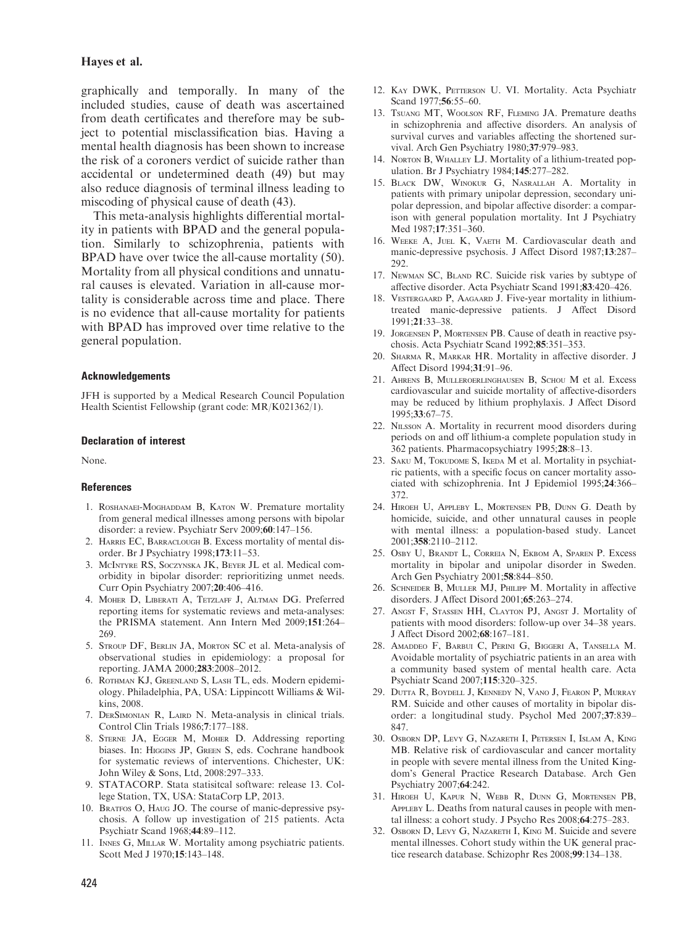#### Hayes et al.

graphically and temporally. In many of the included studies, cause of death was ascertained from death certificates and therefore may be subject to potential misclassification bias. Having a mental health diagnosis has been shown to increase the risk of a coroners verdict of suicide rather than accidental or undetermined death (49) but may also reduce diagnosis of terminal illness leading to miscoding of physical cause of death (43).

This meta-analysis highlights differential mortality in patients with BPAD and the general population. Similarly to schizophrenia, patients with BPAD have over twice the all-cause mortality (50). Mortality from all physical conditions and unnatural causes is elevated. Variation in all-cause mortality is considerable across time and place. There is no evidence that all-cause mortality for patients with BPAD has improved over time relative to the general population.

#### Acknowledgements

JFH is supported by a Medical Research Council Population Health Scientist Fellowship (grant code: MR/K021362/1).

#### Declaration of interest

None.

#### **References**

- 1. Roshanaei-Moghaddam B, Katon W. Premature mortality from general medical illnesses among persons with bipolar disorder: a review. Psychiatr Serv 2009;60:147–156.
- 2. Harris EC, Barraclough B. Excess mortality of mental disorder. Br J Psychiatry 1998;173:11–53.
- 3. McIntyre RS, Soczynska JK, Beyer JL et al. Medical comorbidity in bipolar disorder: reprioritizing unmet needs. Curr Opin Psychiatry 2007;20:406–416.
- 4. Moher D, Liberati A, Tetzlaff J, Altman DG. Preferred reporting items for systematic reviews and meta-analyses: the PRISMA statement. Ann Intern Med 2009;151:264– 269.
- 5. Stroup DF, Berlin JA, Morton SC et al. Meta-analysis of observational studies in epidemiology: a proposal for reporting. JAMA 2000;283:2008–2012.
- 6. Rothman KJ, Greenland S, Lash TL, eds. Modern epidemiology. Philadelphia, PA, USA: Lippincott Williams & Wilkins, 2008.
- 7. DERSIMONIAN R, LAIRD N. Meta-analysis in clinical trials. Control Clin Trials 1986;7:177–188.
- 8. Sterne JA, Egger M, Moher D. Addressing reporting biases. In: Higgins JP, Green S, eds. Cochrane handbook for systematic reviews of interventions. Chichester, UK: John Wiley & Sons, Ltd, 2008:297–333.
- 9. STATACORP. Stata statisitcal software: release 13. College Station, TX, USA: StataCorp LP, 2013.
- 10. Bratfos O, Haug JO. The course of manic-depressive psychosis. A follow up investigation of 215 patients. Acta Psychiatr Scand 1968;44:89–112.
- 11. Innes G, Millar W. Mortality among psychiatric patients. Scott Med J 1970;15:143–148.
- 12. Kay DWK, Petterson U. VI. Mortality. Acta Psychiatr Scand 1977;56:55–60.
- 13. Tsuang MT, Woolson RF, Fleming JA. Premature deaths in schizophrenia and affective disorders. An analysis of survival curves and variables affecting the shortened survival. Arch Gen Psychiatry 1980;37:979–983.
- 14. Norton B, Whalley LJ. Mortality of a lithium-treated population. Br J Psychiatry 1984;145:277–282.
- 15. Black DW, Winokur G, Nasrallah A. Mortality in patients with primary unipolar depression, secondary unipolar depression, and bipolar affective disorder: a comparison with general population mortality. Int J Psychiatry Med 1987;17:351–360.
- 16. Weeke A, Juel K, Vaeth M. Cardiovascular death and manic-depressive psychosis. J Affect Disord 1987;13:287– 292.
- 17. Newman SC, Bland RC. Suicide risk varies by subtype of affective disorder. Acta Psychiatr Scand 1991;83:420–426.
- 18. Vestergaard P, Aagaard J. Five-year mortality in lithiumtreated manic-depressive patients. J Affect Disord 1991;21:33–38.
- 19. Jorgensen P, Mortensen PB. Cause of death in reactive psychosis. Acta Psychiatr Scand 1992;85:351–353.
- 20. Sharma R, Markar HR. Mortality in affective disorder. J Affect Disord 1994;31:91–96.
- 21. Ahrens B, Mulleroerlinghausen B, Schou M et al. Excess cardiovascular and suicide mortality of affective-disorders may be reduced by lithium prophylaxis. J Affect Disord 1995;33:67–75.
- 22. Nilsson A. Mortality in recurrent mood disorders during periods on and off lithium-a complete population study in 362 patients. Pharmacopsychiatry 1995;28:8–13.
- 23. SAKU M, Токироме S, Iкера M et al. Mortality in psychiatric patients, with a specific focus on cancer mortality associated with schizophrenia. Int J Epidemiol 1995;24:366– 372.
- 24. Hiroeh U, Appleby L, Mortensen PB, Dunn G. Death by homicide, suicide, and other unnatural causes in people with mental illness: a population-based study. Lancet 2001;358:2110–2112.
- 25. Osby U, Brandt L, Correia N, Ekbom A, Sparen P. Excess mortality in bipolar and unipolar disorder in Sweden. Arch Gen Psychiatry 2001;58:844–850.
- 26. Schneider B, Muller MJ, Philipp M. Mortality in affective disorders. J Affect Disord 2001;65:263–274.
- 27. Angst F, Stassen HH, Clayton PJ, Angst J. Mortality of patients with mood disorders: follow-up over 34–38 years. J Affect Disord 2002;68:167–181.
- 28. Amaddeo F, Barbui C, Perini G, Biggeri A, Tansella M. Avoidable mortality of psychiatric patients in an area with a community based system of mental health care. Acta Psychiatr Scand 2007;115:320–325.
- 29. Dutta R, Boydell J, Kennedy N, Vano J, Fearon P, Murray RM. Suicide and other causes of mortality in bipolar disorder: a longitudinal study. Psychol Med 2007;37:839– 847.
- 30. Osborn DP, Levy G, Nazareth I, Petersen I, Islam A, King MB. Relative risk of cardiovascular and cancer mortality in people with severe mental illness from the United Kingdom's General Practice Research Database. Arch Gen Psychiatry 2007;64:242.
- 31. Hiroeh U, Kapur N, Webb R, Dunn G, Mortensen PB, Appleby L. Deaths from natural causes in people with mental illness: a cohort study. J Psycho Res 2008;64:275–283.
- 32. OSBORN D, LEVY G, NAZARETH I, KING M. Suicide and severe mental illnesses. Cohort study within the UK general practice research database. Schizophr Res 2008;99:134–138.